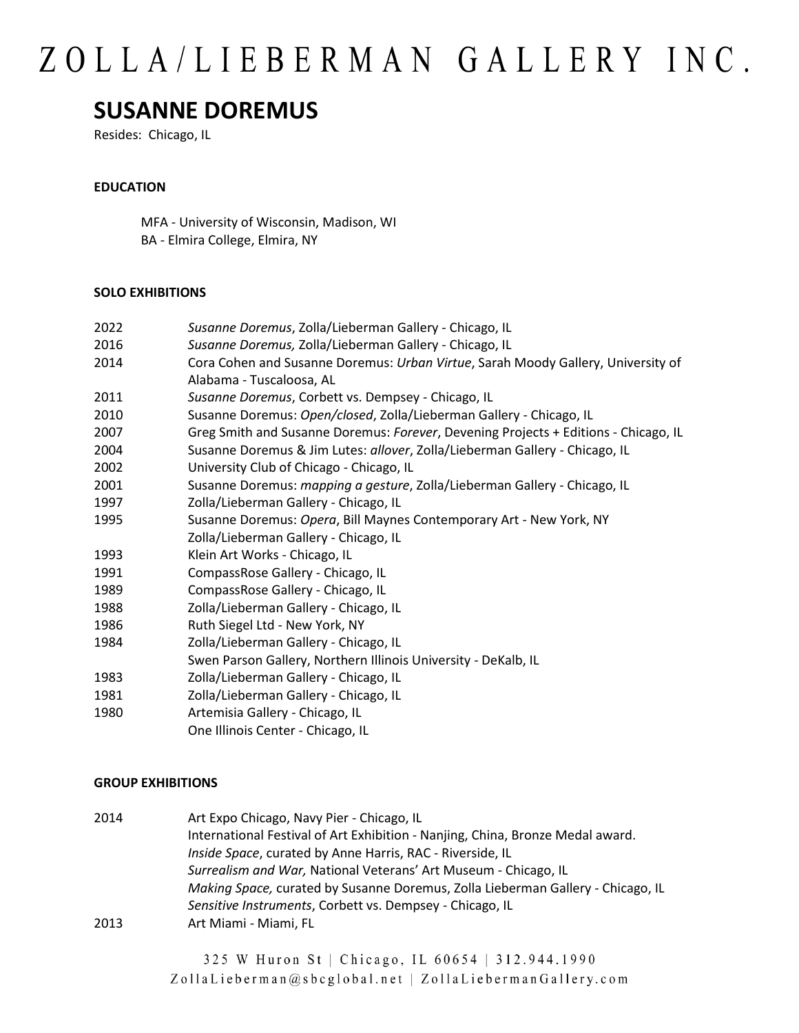### **SUSANNE DOREMUS**

Resides: Chicago, IL

#### **EDUCATION**

MFA - University of Wisconsin, Madison, WI BA - Elmira College, Elmira, NY

#### **SOLO EXHIBITIONS**

| 2022 | Susanne Doremus, Zolla/Lieberman Gallery - Chicago, IL                              |
|------|-------------------------------------------------------------------------------------|
| 2016 | Susanne Doremus, Zolla/Lieberman Gallery - Chicago, IL                              |
| 2014 | Cora Cohen and Susanne Doremus: Urban Virtue, Sarah Moody Gallery, University of    |
|      | Alabama - Tuscaloosa, AL                                                            |
| 2011 | Susanne Doremus, Corbett vs. Dempsey - Chicago, IL                                  |
| 2010 | Susanne Doremus: Open/closed, Zolla/Lieberman Gallery - Chicago, IL                 |
| 2007 | Greg Smith and Susanne Doremus: Forever, Devening Projects + Editions - Chicago, IL |
| 2004 | Susanne Doremus & Jim Lutes: allover, Zolla/Lieberman Gallery - Chicago, IL         |
| 2002 | University Club of Chicago - Chicago, IL                                            |
| 2001 | Susanne Doremus: mapping a gesture, Zolla/Lieberman Gallery - Chicago, IL           |
| 1997 | Zolla/Lieberman Gallery - Chicago, IL                                               |
| 1995 | Susanne Doremus: Opera, Bill Maynes Contemporary Art - New York, NY                 |
|      | Zolla/Lieberman Gallery - Chicago, IL                                               |
| 1993 | Klein Art Works - Chicago, IL                                                       |
| 1991 | CompassRose Gallery - Chicago, IL                                                   |
| 1989 | CompassRose Gallery - Chicago, IL                                                   |
| 1988 | Zolla/Lieberman Gallery - Chicago, IL                                               |
| 1986 | Ruth Siegel Ltd - New York, NY                                                      |
| 1984 | Zolla/Lieberman Gallery - Chicago, IL                                               |
|      | Swen Parson Gallery, Northern Illinois University - DeKalb, IL                      |
| 1983 | Zolla/Lieberman Gallery - Chicago, IL                                               |
| 1981 | Zolla/Lieberman Gallery - Chicago, IL                                               |
| 1980 | Artemisia Gallery - Chicago, IL                                                     |
|      | One Illinois Center - Chicago, IL                                                   |
|      |                                                                                     |

#### **GROUP EXHIBITIONS**

| 2014 | Art Expo Chicago, Navy Pier - Chicago, IL                                       |
|------|---------------------------------------------------------------------------------|
|      | International Festival of Art Exhibition - Nanjing, China, Bronze Medal award.  |
|      | Inside Space, curated by Anne Harris, RAC - Riverside, IL                       |
|      | Surrealism and War, National Veterans' Art Museum - Chicago, IL                 |
|      | Making Space, curated by Susanne Doremus, Zolla Lieberman Gallery - Chicago, IL |
|      | Sensitive Instruments, Corbett vs. Dempsey - Chicago, IL                        |
| 2013 | Art Miami - Miami, FL                                                           |

325 W Huron St | Chicago, IL 60654 | 312.944.1990 ZollaLieberman@sbcglobal.net | ZollaLiebermanGallery.com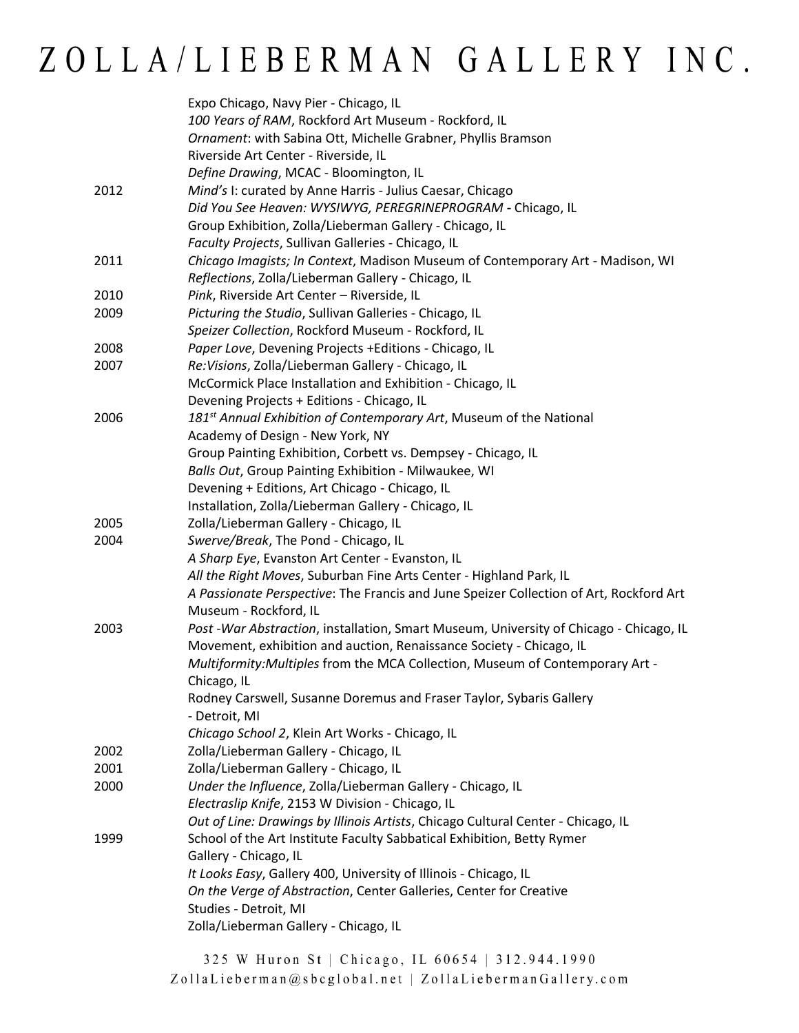|      | Expo Chicago, Navy Pier - Chicago, IL                                                  |
|------|----------------------------------------------------------------------------------------|
|      | 100 Years of RAM, Rockford Art Museum - Rockford, IL                                   |
|      | Ornament: with Sabina Ott, Michelle Grabner, Phyllis Bramson                           |
|      | Riverside Art Center - Riverside, IL                                                   |
|      | Define Drawing, MCAC - Bloomington, IL                                                 |
| 2012 | Mind's I: curated by Anne Harris - Julius Caesar, Chicago                              |
|      | Did You See Heaven: WYSIWYG, PEREGRINEPROGRAM - Chicago, IL                            |
|      | Group Exhibition, Zolla/Lieberman Gallery - Chicago, IL                                |
|      | Faculty Projects, Sullivan Galleries - Chicago, IL                                     |
| 2011 | Chicago Imagists; In Context, Madison Museum of Contemporary Art - Madison, WI         |
|      | Reflections, Zolla/Lieberman Gallery - Chicago, IL                                     |
| 2010 | Pink, Riverside Art Center - Riverside, IL                                             |
| 2009 | Picturing the Studio, Sullivan Galleries - Chicago, IL                                 |
|      | Speizer Collection, Rockford Museum - Rockford, IL                                     |
| 2008 | Paper Love, Devening Projects +Editions - Chicago, IL                                  |
| 2007 | Re: Visions, Zolla/Lieberman Gallery - Chicago, IL                                     |
|      | McCormick Place Installation and Exhibition - Chicago, IL                              |
|      | Devening Projects + Editions - Chicago, IL                                             |
| 2006 | 181 <sup>st</sup> Annual Exhibition of Contemporary Art, Museum of the National        |
|      | Academy of Design - New York, NY                                                       |
|      | Group Painting Exhibition, Corbett vs. Dempsey - Chicago, IL                           |
|      | Balls Out, Group Painting Exhibition - Milwaukee, WI                                   |
|      | Devening + Editions, Art Chicago - Chicago, IL                                         |
|      | Installation, Zolla/Lieberman Gallery - Chicago, IL                                    |
| 2005 | Zolla/Lieberman Gallery - Chicago, IL                                                  |
| 2004 | Swerve/Break, The Pond - Chicago, IL                                                   |
|      | A Sharp Eye, Evanston Art Center - Evanston, IL                                        |
|      | All the Right Moves, Suburban Fine Arts Center - Highland Park, IL                     |
|      | A Passionate Perspective: The Francis and June Speizer Collection of Art, Rockford Art |
|      | Museum - Rockford, IL                                                                  |
| 2003 | Post -War Abstraction, installation, Smart Museum, University of Chicago - Chicago, IL |
|      | Movement, exhibition and auction, Renaissance Society - Chicago, IL                    |
|      | Multiformity: Multiples from the MCA Collection, Museum of Contemporary Art -          |
|      | Chicago, IL                                                                            |
|      | Rodney Carswell, Susanne Doremus and Fraser Taylor, Sybaris Gallery                    |
|      | - Detroit, MI                                                                          |
|      | Chicago School 2, Klein Art Works - Chicago, IL                                        |
| 2002 | Zolla/Lieberman Gallery - Chicago, IL                                                  |
| 2001 | Zolla/Lieberman Gallery - Chicago, IL                                                  |
| 2000 | Under the Influence, Zolla/Lieberman Gallery - Chicago, IL                             |
|      | Electraslip Knife, 2153 W Division - Chicago, IL                                       |
|      | Out of Line: Drawings by Illinois Artists, Chicago Cultural Center - Chicago, IL       |
| 1999 | School of the Art Institute Faculty Sabbatical Exhibition, Betty Rymer                 |
|      | Gallery - Chicago, IL                                                                  |
|      | It Looks Easy, Gallery 400, University of Illinois - Chicago, IL                       |
|      | On the Verge of Abstraction, Center Galleries, Center for Creative                     |
|      | Studies - Detroit, MI                                                                  |
|      | Zolla/Lieberman Gallery - Chicago, IL                                                  |
|      |                                                                                        |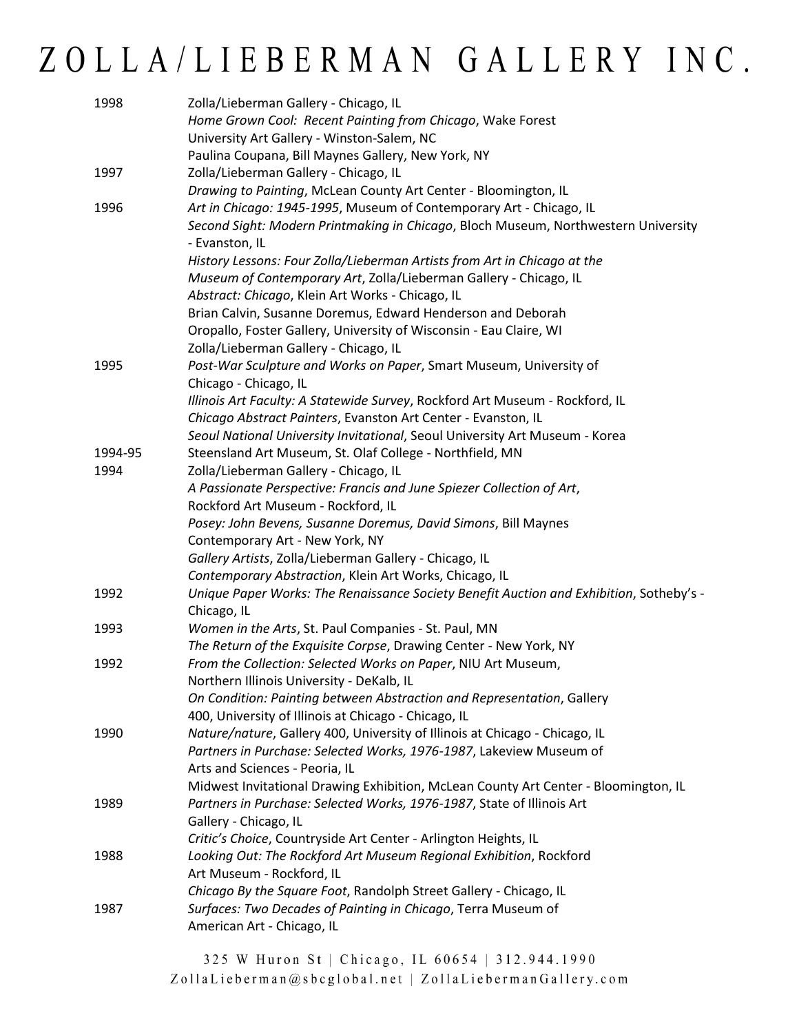| 1998    | Zolla/Lieberman Gallery - Chicago, IL<br>Home Grown Cool: Recent Painting from Chicago, Wake Forest    |
|---------|--------------------------------------------------------------------------------------------------------|
|         | University Art Gallery - Winston-Salem, NC                                                             |
|         | Paulina Coupana, Bill Maynes Gallery, New York, NY                                                     |
| 1997    | Zolla/Lieberman Gallery - Chicago, IL                                                                  |
|         | Drawing to Painting, McLean County Art Center - Bloomington, IL                                        |
| 1996    | Art in Chicago: 1945-1995, Museum of Contemporary Art - Chicago, IL                                    |
|         | Second Sight: Modern Printmaking in Chicago, Bloch Museum, Northwestern University<br>- Evanston, IL   |
|         | History Lessons: Four Zolla/Lieberman Artists from Art in Chicago at the                               |
|         | Museum of Contemporary Art, Zolla/Lieberman Gallery - Chicago, IL                                      |
|         | Abstract: Chicago, Klein Art Works - Chicago, IL                                                       |
|         | Brian Calvin, Susanne Doremus, Edward Henderson and Deborah                                            |
|         | Oropallo, Foster Gallery, University of Wisconsin - Eau Claire, WI                                     |
|         | Zolla/Lieberman Gallery - Chicago, IL                                                                  |
| 1995    | Post-War Sculpture and Works on Paper, Smart Museum, University of                                     |
|         | Chicago - Chicago, IL                                                                                  |
|         | Illinois Art Faculty: A Statewide Survey, Rockford Art Museum - Rockford, IL                           |
|         | Chicago Abstract Painters, Evanston Art Center - Evanston, IL                                          |
|         | Seoul National University Invitational, Seoul University Art Museum - Korea                            |
| 1994-95 | Steensland Art Museum, St. Olaf College - Northfield, MN                                               |
| 1994    | Zolla/Lieberman Gallery - Chicago, IL                                                                  |
|         | A Passionate Perspective: Francis and June Spiezer Collection of Art,                                  |
|         | Rockford Art Museum - Rockford, IL                                                                     |
|         | Posey: John Bevens, Susanne Doremus, David Simons, Bill Maynes                                         |
|         | Contemporary Art - New York, NY                                                                        |
|         | Gallery Artists, Zolla/Lieberman Gallery - Chicago, IL                                                 |
|         | Contemporary Abstraction, Klein Art Works, Chicago, IL                                                 |
| 1992    | Unique Paper Works: The Renaissance Society Benefit Auction and Exhibition, Sotheby's -<br>Chicago, IL |
| 1993    | Women in the Arts, St. Paul Companies - St. Paul, MN                                                   |
|         | The Return of the Exquisite Corpse, Drawing Center - New York, NY                                      |
| 1992    | From the Collection: Selected Works on Paper, NIU Art Museum,                                          |
|         | Northern Illinois University - DeKalb, IL                                                              |
|         | On Condition: Painting between Abstraction and Representation, Gallery                                 |
|         | 400, University of Illinois at Chicago - Chicago, IL                                                   |
| 1990    | Nature/nature, Gallery 400, University of Illinois at Chicago - Chicago, IL                            |
|         | Partners in Purchase: Selected Works, 1976-1987, Lakeview Museum of                                    |
|         | Arts and Sciences - Peoria, IL                                                                         |
|         | Midwest Invitational Drawing Exhibition, McLean County Art Center - Bloomington, IL                    |
| 1989    | Partners in Purchase: Selected Works, 1976-1987, State of Illinois Art                                 |
|         | Gallery - Chicago, IL                                                                                  |
|         | Critic's Choice, Countryside Art Center - Arlington Heights, IL                                        |
| 1988    | Looking Out: The Rockford Art Museum Regional Exhibition, Rockford<br>Art Museum - Rockford, IL        |
|         | Chicago By the Square Foot, Randolph Street Gallery - Chicago, IL                                      |
| 1987    | Surfaces: Two Decades of Painting in Chicago, Terra Museum of<br>American Art - Chicago, IL            |
|         |                                                                                                        |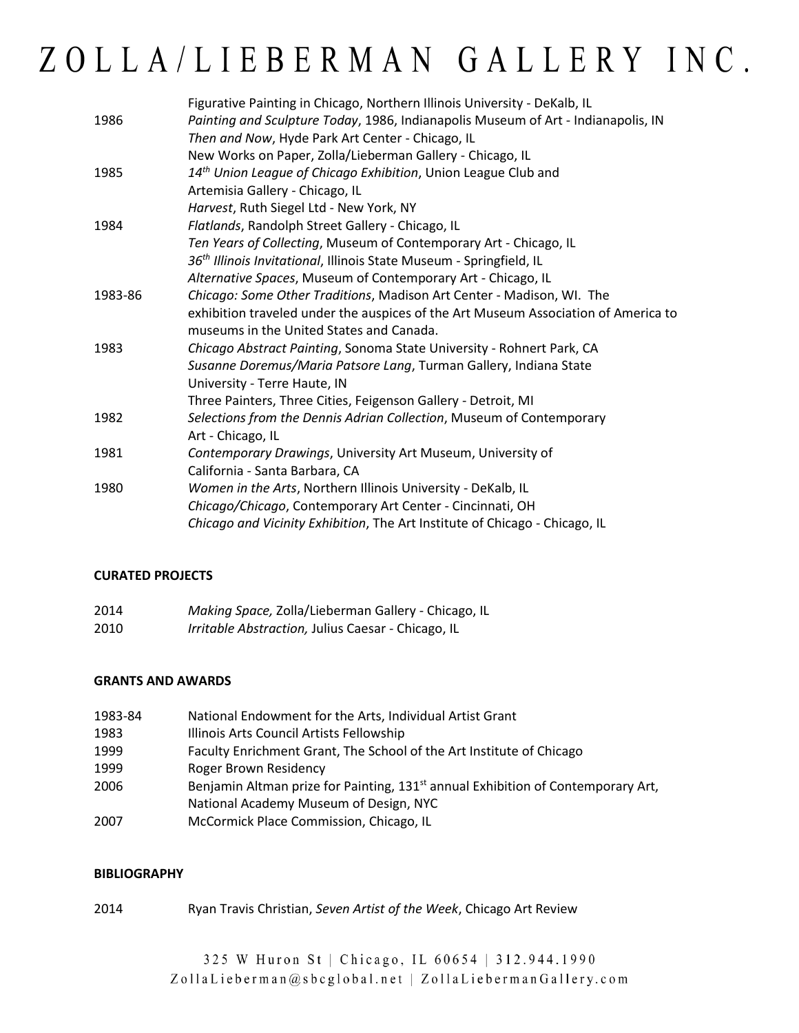|         | Figurative Painting in Chicago, Northern Illinois University - DeKalb, IL          |
|---------|------------------------------------------------------------------------------------|
| 1986    | Painting and Sculpture Today, 1986, Indianapolis Museum of Art - Indianapolis, IN  |
|         | Then and Now, Hyde Park Art Center - Chicago, IL                                   |
|         | New Works on Paper, Zolla/Lieberman Gallery - Chicago, IL                          |
| 1985    | 14 <sup>th</sup> Union League of Chicago Exhibition, Union League Club and         |
|         | Artemisia Gallery - Chicago, IL                                                    |
|         | Harvest, Ruth Siegel Ltd - New York, NY                                            |
| 1984    | Flatlands, Randolph Street Gallery - Chicago, IL                                   |
|         | Ten Years of Collecting, Museum of Contemporary Art - Chicago, IL                  |
|         | 36 <sup>th</sup> Illinois Invitational, Illinois State Museum - Springfield, IL    |
|         | Alternative Spaces, Museum of Contemporary Art - Chicago, IL                       |
| 1983-86 | Chicago: Some Other Traditions, Madison Art Center - Madison, WI. The              |
|         | exhibition traveled under the auspices of the Art Museum Association of America to |
|         | museums in the United States and Canada.                                           |
| 1983    | Chicago Abstract Painting, Sonoma State University - Rohnert Park, CA              |
|         | Susanne Doremus/Maria Patsore Lang, Turman Gallery, Indiana State                  |
|         | University - Terre Haute, IN                                                       |
|         | Three Painters, Three Cities, Feigenson Gallery - Detroit, MI                      |
| 1982    | Selections from the Dennis Adrian Collection, Museum of Contemporary               |
|         | Art - Chicago, IL                                                                  |
| 1981    | Contemporary Drawings, University Art Museum, University of                        |
|         | California - Santa Barbara, CA                                                     |
| 1980    | Women in the Arts, Northern Illinois University - DeKalb, IL                       |
|         | Chicago/Chicago, Contemporary Art Center - Cincinnati, OH                          |
|         | Chicago and Vicinity Exhibition, The Art Institute of Chicago - Chicago, IL        |

#### **CURATED PROJECTS**

| 2014 | Making Space, Zolla/Lieberman Gallery - Chicago, IL       |
|------|-----------------------------------------------------------|
| 2010 | <i>Irritable Abstraction, Julius Caesar - Chicago, IL</i> |

#### **GRANTS AND AWARDS**

| 1983-84 | National Endowment for the Arts, Individual Artist Grant                                     |
|---------|----------------------------------------------------------------------------------------------|
| 1983    | Illinois Arts Council Artists Fellowship                                                     |
| 1999    | Faculty Enrichment Grant, The School of the Art Institute of Chicago                         |
| 1999    | <b>Roger Brown Residency</b>                                                                 |
| 2006    | Benjamin Altman prize for Painting, 131 <sup>st</sup> annual Exhibition of Contemporary Art, |
|         | National Academy Museum of Design, NYC                                                       |
| 2007    | McCormick Place Commission, Chicago, IL                                                      |

#### **BIBLIOGRAPHY**

2014 Ryan Travis Christian, *Seven Artist of the Week*, Chicago Art Review

325 W Huron St | Chicago, IL 60654 | 312.944.1990 ZollaLieberman@sbcglobal.net | ZollaLiebermanGallery.com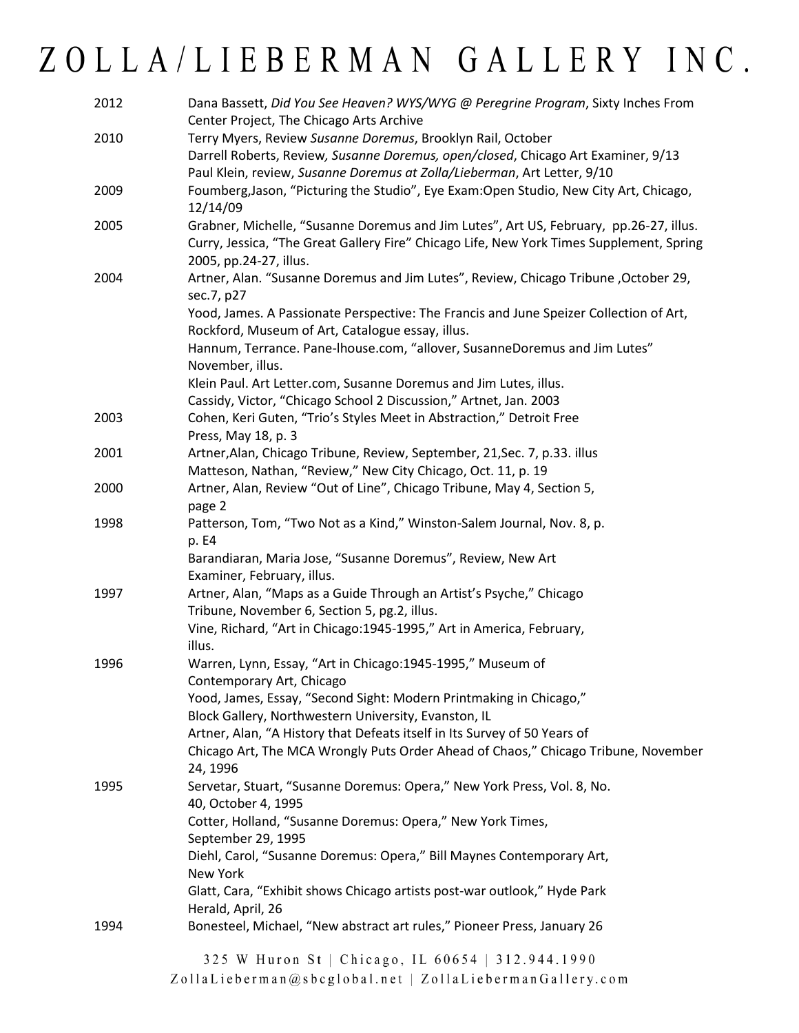| 2012 | Dana Bassett, Did You See Heaven? WYS/WYG @ Peregrine Program, Sixty Inches From                                   |
|------|--------------------------------------------------------------------------------------------------------------------|
|      | Center Project, The Chicago Arts Archive                                                                           |
| 2010 | Terry Myers, Review Susanne Doremus, Brooklyn Rail, October                                                        |
|      | Darrell Roberts, Review, Susanne Doremus, open/closed, Chicago Art Examiner, 9/13                                  |
|      | Paul Klein, review, Susanne Doremus at Zolla/Lieberman, Art Letter, 9/10                                           |
| 2009 | Foumberg, Jason, "Picturing the Studio", Eye Exam: Open Studio, New City Art, Chicago,<br>12/14/09                 |
| 2005 | Grabner, Michelle, "Susanne Doremus and Jim Lutes", Art US, February, pp.26-27, illus.                             |
|      | Curry, Jessica, "The Great Gallery Fire" Chicago Life, New York Times Supplement, Spring<br>2005, pp.24-27, illus. |
| 2004 | Artner, Alan. "Susanne Doremus and Jim Lutes", Review, Chicago Tribune, October 29,                                |
|      | sec.7, p27                                                                                                         |
|      | Yood, James. A Passionate Perspective: The Francis and June Speizer Collection of Art,                             |
|      | Rockford, Museum of Art, Catalogue essay, illus.                                                                   |
|      | Hannum, Terrance. Pane-lhouse.com, "allover, SusanneDoremus and Jim Lutes"<br>November, illus.                     |
|      | Klein Paul. Art Letter.com, Susanne Doremus and Jim Lutes, illus.                                                  |
|      | Cassidy, Victor, "Chicago School 2 Discussion," Artnet, Jan. 2003                                                  |
| 2003 | Cohen, Keri Guten, "Trio's Styles Meet in Abstraction," Detroit Free                                               |
|      | Press, May 18, p. 3                                                                                                |
| 2001 | Artner, Alan, Chicago Tribune, Review, September, 21, Sec. 7, p.33. illus                                          |
|      | Matteson, Nathan, "Review," New City Chicago, Oct. 11, p. 19                                                       |
| 2000 | Artner, Alan, Review "Out of Line", Chicago Tribune, May 4, Section 5,                                             |
|      | page 2                                                                                                             |
| 1998 | Patterson, Tom, "Two Not as a Kind," Winston-Salem Journal, Nov. 8, p.                                             |
|      | p. E4                                                                                                              |
|      | Barandiaran, Maria Jose, "Susanne Doremus", Review, New Art                                                        |
|      | Examiner, February, illus.                                                                                         |
| 1997 | Artner, Alan, "Maps as a Guide Through an Artist's Psyche," Chicago                                                |
|      | Tribune, November 6, Section 5, pg.2, illus.                                                                       |
|      | Vine, Richard, "Art in Chicago: 1945-1995," Art in America, February,                                              |
|      | illus.                                                                                                             |
| 1996 | Warren, Lynn, Essay, "Art in Chicago:1945-1995," Museum of                                                         |
|      | Contemporary Art, Chicago                                                                                          |
|      | Yood, James, Essay, "Second Sight: Modern Printmaking in Chicago,"                                                 |
|      | Block Gallery, Northwestern University, Evanston, IL                                                               |
|      | Artner, Alan, "A History that Defeats itself in Its Survey of 50 Years of                                          |
|      | Chicago Art, The MCA Wrongly Puts Order Ahead of Chaos," Chicago Tribune, November<br>24, 1996                     |
| 1995 | Servetar, Stuart, "Susanne Doremus: Opera," New York Press, Vol. 8, No.<br>40, October 4, 1995                     |
|      | Cotter, Holland, "Susanne Doremus: Opera," New York Times,                                                         |
|      | September 29, 1995                                                                                                 |
|      | Diehl, Carol, "Susanne Doremus: Opera," Bill Maynes Contemporary Art,                                              |
|      | New York                                                                                                           |
|      | Glatt, Cara, "Exhibit shows Chicago artists post-war outlook," Hyde Park                                           |
|      | Herald, April, 26                                                                                                  |
| 1994 | Bonesteel, Michael, "New abstract art rules," Pioneer Press, January 26                                            |
|      | 325 W Huron St   Chicago, IL 60654   312.944.1990                                                                  |

ZollaLieberman@sbcglobal.net | ZollaLiebermanGallery.com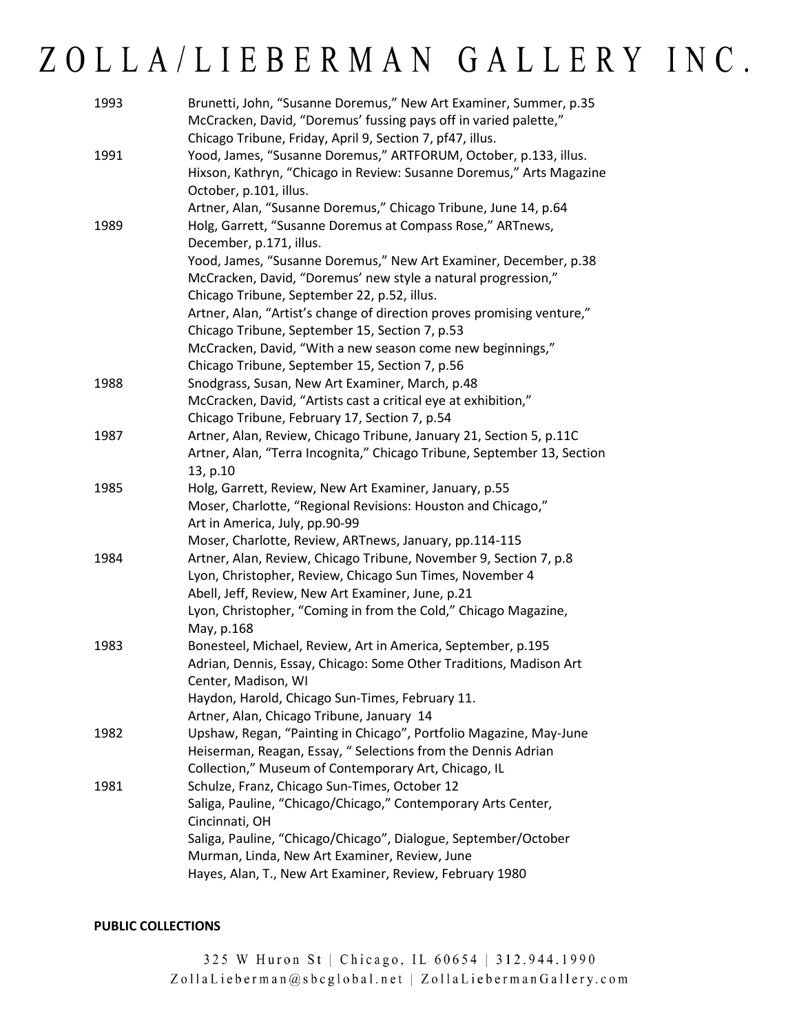| 1993 | Brunetti, John, "Susanne Doremus," New Art Examiner, Summer, p.35<br>McCracken, David, "Doremus' fussing pays off in varied palette," |
|------|---------------------------------------------------------------------------------------------------------------------------------------|
|      | Chicago Tribune, Friday, April 9, Section 7, pf47, illus.                                                                             |
| 1991 | Yood, James, "Susanne Doremus," ARTFORUM, October, p.133, illus.                                                                      |
|      | Hixson, Kathryn, "Chicago in Review: Susanne Doremus," Arts Magazine<br>October, p.101, illus.                                        |
|      | Artner, Alan, "Susanne Doremus," Chicago Tribune, June 14, p.64                                                                       |
| 1989 | Holg, Garrett, "Susanne Doremus at Compass Rose," ARTnews,                                                                            |
|      | December, p.171, illus.                                                                                                               |
|      | Yood, James, "Susanne Doremus," New Art Examiner, December, p.38                                                                      |
|      | McCracken, David, "Doremus' new style a natural progression,"                                                                         |
|      | Chicago Tribune, September 22, p.52, illus.                                                                                           |
|      | Artner, Alan, "Artist's change of direction proves promising venture,"                                                                |
|      | Chicago Tribune, September 15, Section 7, p.53                                                                                        |
|      | McCracken, David, "With a new season come new beginnings,"                                                                            |
|      | Chicago Tribune, September 15, Section 7, p.56                                                                                        |
| 1988 | Snodgrass, Susan, New Art Examiner, March, p.48                                                                                       |
|      | McCracken, David, "Artists cast a critical eye at exhibition,"                                                                        |
|      | Chicago Tribune, February 17, Section 7, p.54                                                                                         |
| 1987 | Artner, Alan, Review, Chicago Tribune, January 21, Section 5, p.11C                                                                   |
|      | Artner, Alan, "Terra Incognita," Chicago Tribune, September 13, Section                                                               |
|      | 13, p.10                                                                                                                              |
| 1985 | Holg, Garrett, Review, New Art Examiner, January, p.55                                                                                |
|      | Moser, Charlotte, "Regional Revisions: Houston and Chicago,"                                                                          |
|      | Art in America, July, pp.90-99                                                                                                        |
|      | Moser, Charlotte, Review, ARTnews, January, pp.114-115                                                                                |
| 1984 | Artner, Alan, Review, Chicago Tribune, November 9, Section 7, p.8                                                                     |
|      | Lyon, Christopher, Review, Chicago Sun Times, November 4                                                                              |
|      | Abell, Jeff, Review, New Art Examiner, June, p.21                                                                                     |
|      | Lyon, Christopher, "Coming in from the Cold," Chicago Magazine,<br>May, p.168                                                         |
| 1983 | Bonesteel, Michael, Review, Art in America, September, p.195                                                                          |
|      | Adrian, Dennis, Essay, Chicago: Some Other Traditions, Madison Art                                                                    |
|      | Center, Madison, WI                                                                                                                   |
|      | Haydon, Harold, Chicago Sun-Times, February 11.                                                                                       |
|      | Artner, Alan, Chicago Tribune, January 14                                                                                             |
| 1982 | Upshaw, Regan, "Painting in Chicago", Portfolio Magazine, May-June                                                                    |
|      | Heiserman, Reagan, Essay, "Selections from the Dennis Adrian                                                                          |
|      | Collection," Museum of Contemporary Art, Chicago, IL                                                                                  |
| 1981 | Schulze, Franz, Chicago Sun-Times, October 12                                                                                         |
|      | Saliga, Pauline, "Chicago/Chicago," Contemporary Arts Center,<br>Cincinnati, OH                                                       |
|      | Saliga, Pauline, "Chicago/Chicago", Dialogue, September/October                                                                       |
|      | Murman, Linda, New Art Examiner, Review, June                                                                                         |
|      | Hayes, Alan, T., New Art Examiner, Review, February 1980                                                                              |
|      |                                                                                                                                       |

#### **PUBLIC COLLECTIONS**

325 W Huron St | Chicago, IL 60654 | 312.944.1990 ZollaLieberman@sbcglobal.net | ZollaLiebermanGallery.com